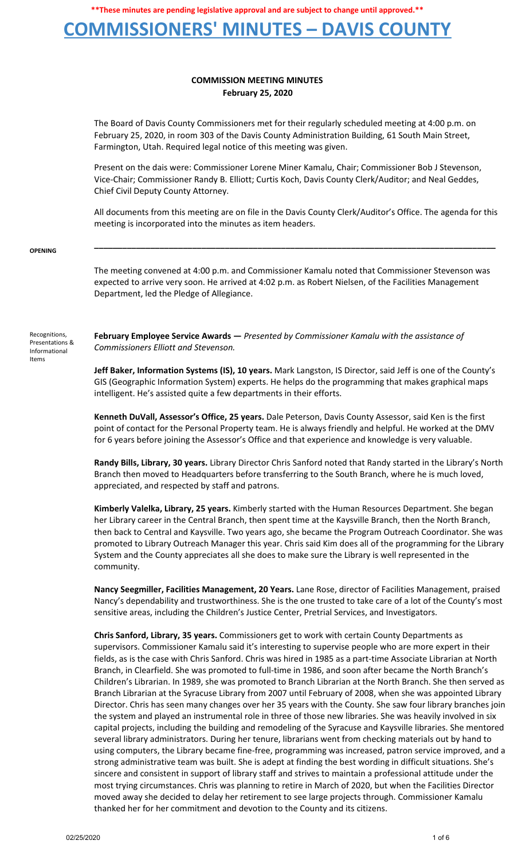### **COMMISSIONERS' MINUTES – DAVIS COUNTY**

### **COMMISSION MEETING MINUTES February 25, 2020**

The Board of Davis County Commissioners met for their regularly scheduled meeting at 4:00 p.m. on February 25, 2020, in room 303 of the Davis County Administration Building, 61 South Main Street, Farmington, Utah. Required legal notice of this meeting was given.

Present on the dais were: Commissioner Lorene Miner Kamalu, Chair; Commissioner Bob J Stevenson, Vice-Chair; Commissioner Randy B. Elliott; Curtis Koch, Davis County Clerk/Auditor; and Neal Geddes, Chief Civil Deputy County Attorney.

All documents from this meeting are on file in the Davis County Clerk/Auditor's Office. The agenda for this meeting is incorporated into the minutes as item headers.

**\_\_\_\_\_\_\_\_\_\_\_\_\_\_\_\_\_\_\_\_\_\_\_\_\_\_\_\_\_\_\_\_\_\_\_\_\_\_\_\_\_\_\_\_\_\_\_\_\_\_\_\_\_\_\_\_\_\_\_\_\_\_\_\_\_\_\_\_\_\_\_\_\_\_\_\_\_\_\_\_\_\_\_\_\_\_**

#### **OPENING**

The meeting convened at 4:00 p.m. and Commissioner Kamalu noted that Commissioner Stevenson was expected to arrive very soon. He arrived at 4:02 p.m. as Robert Nielsen, of the Facilities Management Department, led the Pledge of Allegiance.

Recognitions, Presentations & Informational Items

**February Employee Service Awards —** *Presented by Commissioner Kamalu with the assistance of Commissioners Elliott and Stevenson.*

**Jeff Baker, Information Systems (IS), 10 years.** Mark Langston, IS Director, said Jeff is one of the County's GIS (Geographic Information System) experts. He helps do the programming that makes graphical maps intelligent. He's assisted quite a few departments in their efforts.

**Kenneth DuVall, Assessor's Office, 25 years.** Dale Peterson, Davis County Assessor, said Ken is the first point of contact for the Personal Property team. He is always friendly and helpful. He worked at the DMV for 6 years before joining the Assessor's Office and that experience and knowledge is very valuable.

**Randy Bills, Library, 30 years.** Library Director Chris Sanford noted that Randy started in the Library's North Branch then moved to Headquarters before transferring to the South Branch, where he is much loved, appreciated, and respected by staff and patrons.

**Kimberly Valelka, Library, 25 years.** Kimberly started with the Human Resources Department. She began her Library career in the Central Branch, then spent time at the Kaysville Branch, then the North Branch, then back to Central and Kaysville. Two years ago, she became the Program Outreach Coordinator. She was promoted to Library Outreach Manager this year. Chris said Kim does all of the programming for the Library System and the County appreciates all she does to make sure the Library is well represented in the community.

**Nancy Seegmiller, Facilities Management, 20 Years.** Lane Rose, director of Facilities Management, praised Nancy's dependability and trustworthiness. She is the one trusted to take care of a lot of the County's most sensitive areas, including the Children's Justice Center, Pretrial Services, and Investigators.

**Chris Sanford, Library, 35 years.** Commissioners get to work with certain County Departments as supervisors. Commissioner Kamalu said it's interesting to supervise people who are more expert in their fields, as is the case with Chris Sanford. Chris was hired in 1985 as a part-time Associate Librarian at North Branch, in Clearfield. She was promoted to full-time in 1986, and soon after became the North Branch's Children's Librarian. In 1989, she was promoted to Branch Librarian at the North Branch. She then served as Branch Librarian at the Syracuse Library from 2007 until February of 2008, when she was appointed Library Director. Chris has seen many changes over her 35 years with the County. She saw four library branches join the system and played an instrumental role in three of those new libraries. She was heavily involved in six capital projects, including the building and remodeling of the Syracuse and Kaysville libraries. She mentored several library administrators. During her tenure, librarians went from checking materials out by hand to using computers, the Library became fine-free, programming was increased, patron service improved, and a strong administrative team was built. She is adept at finding the best wording in difficult situations. She's sincere and consistent in support of library staff and strives to maintain a professional attitude under the most trying circumstances. Chris was planning to retire in March of 2020, but when the Facilities Director moved away she decided to delay her retirement to see large projects through. Commissioner Kamalu thanked her for her commitment and devotion to the County and its citizens.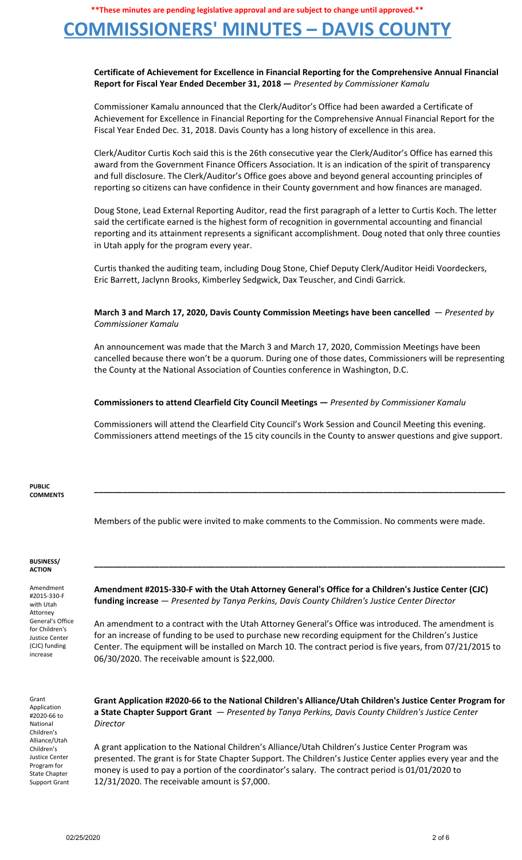## **COMMISSIONERS' MINUTES – DAVIS COUNTY**

### **Certificate of Achievement for Excellence in Financial Reporting for the Comprehensive Annual Financial Report for Fiscal Year Ended December 31, 2018 —** *Presented by Commissioner Kamalu*

Commissioner Kamalu announced that the Clerk/Auditor's Office had been awarded a Certificate of Achievement for Excellence in Financial Reporting for the Comprehensive Annual Financial Report for the Fiscal Year Ended Dec. 31, 2018. Davis County has a long history of excellence in this area.

Clerk/Auditor Curtis Koch said this is the 26th consecutive year the Clerk/Auditor's Office has earned this award from the Government Finance Officers Association. It is an indication of the spirit of transparency and full disclosure. The Clerk/Auditor's Office goes above and beyond general accounting principles of reporting so citizens can have confidence in their County government and how finances are managed.

Doug Stone, Lead External Reporting Auditor, read the first paragraph of a letter to Curtis Koch. The letter said the certificate earned is the highest form of recognition in governmental accounting and financial reporting and its attainment represents a significant accomplishment. Doug noted that only three counties in Utah apply for the program every year.

Curtis thanked the auditing team, including Doug Stone, Chief Deputy Clerk/Auditor Heidi Voordeckers, Eric Barrett, Jaclynn Brooks, Kimberley Sedgwick, Dax Teuscher, and Cindi Garrick.

### **March 3 and March 17, 2020, Davis County Commission Meetings have been cancelled** — *Presented by Commissioner Kamalu*

An announcement was made that the March 3 and March 17, 2020, Commission Meetings have been cancelled because there won't be a quorum. During one of those dates, Commissioners will be representing the County at the National Association of Counties conference in Washington, D.C.

### **Commissioners to attend Clearfield City Council Meetings —** *Presented by Commissioner Kamalu*

Commissioners will attend the Clearfield City Council's Work Session and Council Meeting this evening. Commissioners attend meetings of the 15 city councils in the County to answer questions and give support.

**\_\_\_\_\_\_\_\_\_\_\_\_\_\_\_\_\_\_\_\_\_\_\_\_\_\_\_\_\_\_\_\_\_\_\_\_\_\_\_\_\_\_\_\_\_\_\_\_\_\_\_\_\_\_\_\_\_\_\_\_\_\_\_\_\_\_\_\_\_\_\_\_\_\_\_\_\_\_\_\_\_\_\_\_\_\_\_\_**

**\_\_\_\_\_\_\_\_\_\_\_\_\_\_\_\_\_\_\_\_\_\_\_\_\_\_\_\_\_\_\_\_\_\_\_\_\_\_\_\_\_\_\_\_\_\_\_\_\_\_\_\_\_\_\_\_\_\_\_\_\_\_\_\_\_\_\_\_\_\_\_\_\_\_\_\_\_\_\_\_\_\_\_\_\_\_\_\_**

#### **PUBLIC COMMENTS**

Members of the public were invited to make comments to the Commission. No comments were made.

#### **BUSINESS/ ACTION**

Amendment #2015-330-F with Utah Attorney General's Office for Children's Justice Center (CJC) funding increase

**Amendment #2015-330-F with the Utah Attorney General's Office for a Children's Justice Center (CJC) funding increase** — *Presented by Tanya Perkins, Davis County Children's Justice Center Director*

An amendment to a contract with the Utah Attorney General's Office was introduced. The amendment is for an increase of funding to be used to purchase new recording equipment for the Children's Justice Center. The equipment will be installed on March 10. The contract period is five years, from 07/21/2015 to 06/30/2020. The receivable amount is \$22,000.

Grant Application #2020-66 to National Children's Alliance/Utah Children's Justice Center Program for State Chapter Support Grant

**Grant Application #2020-66 to the National Children's Alliance/Utah Children's Justice Center Program for a State Chapter Support Grant** — *Presented by Tanya Perkins, Davis County Children's Justice Center Director*

A grant application to the National Children's Alliance/Utah Children's Justice Center Program was presented. The grant is for State Chapter Support. The Children's Justice Center applies every year and the money is used to pay a portion of the coordinator's salary. The contract period is 01/01/2020 to 12/31/2020. The receivable amount is \$7,000.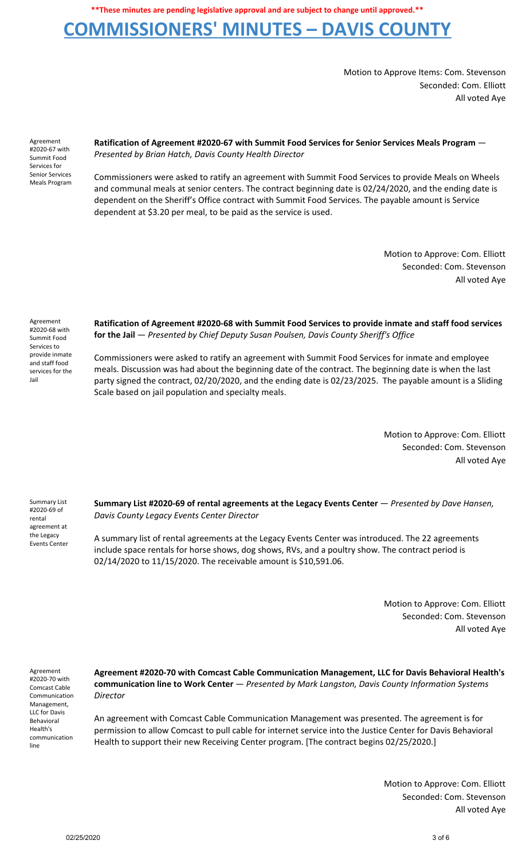## **COMMISSIONERS' MINUTES – DAVIS COUNTY**

Motion to Approve Items: Com. Stevenson Seconded: Com. Elliott All voted Aye

Agreement #2020-67 with Summit Food Services for Senior Services Meals Program **Ratification of Agreement #2020-67 with Summit Food Services for Senior Services Meals Program** — *Presented by Brian Hatch, Davis County Health Director*

Commissioners were asked to ratify an agreement with Summit Food Services to provide Meals on Wheels and communal meals at senior centers. The contract beginning date is 02/24/2020, and the ending date is dependent on the Sheriff's Office contract with Summit Food Services. The payable amount is Service dependent at \$3.20 per meal, to be paid as the service is used.

> Motion to Approve: Com. Elliott Seconded: Com. Stevenson All voted Aye

Agreement #2020-68 with Summit Food Services to provide inmate and staff food services for the Jail

**Ratification of Agreement #2020-68 with Summit Food Services to provide inmate and staff food services for the Jail** — *Presented by Chief Deputy Susan Poulsen, Davis County Sheriff's Office*

Commissioners were asked to ratify an agreement with Summit Food Services for inmate and employee meals. Discussion was had about the beginning date of the contract. The beginning date is when the last party signed the contract, 02/20/2020, and the ending date is 02/23/2025. The payable amount is a Sliding Scale based on jail population and specialty meals.

> Motion to Approve: Com. Elliott Seconded: Com. Stevenson All voted Aye

Summary List #2020-69 of rental agreement at the Legacy Events Center

**Summary List #2020-69 of rental agreements at the Legacy Events Center** — *Presented by Dave Hansen, Davis County Legacy Events Center Director*

A summary list of rental agreements at the Legacy Events Center was introduced. The 22 agreements include space rentals for horse shows, dog shows, RVs, and a poultry show. The contract period is 02/14/2020 to 11/15/2020. The receivable amount is \$10,591.06.

> Motion to Approve: Com. Elliott Seconded: Com. Stevenson All voted Aye

Agreement #2020-70 with Comcast Cable Communication Management, LLC for Davis Behavioral Health's communication line

**Agreement #2020-70 with Comcast Cable Communication Management, LLC for Davis Behavioral Health's communication line to Work Center** — *Presented by Mark Langston, Davis County Information Systems Director*

An agreement with Comcast Cable Communication Management was presented. The agreement is for permission to allow Comcast to pull cable for internet service into the Justice Center for Davis Behavioral Health to support their new Receiving Center program. [The contract begins 02/25/2020.]

> Motion to Approve: Com. Elliott Seconded: Com. Stevenson All voted Aye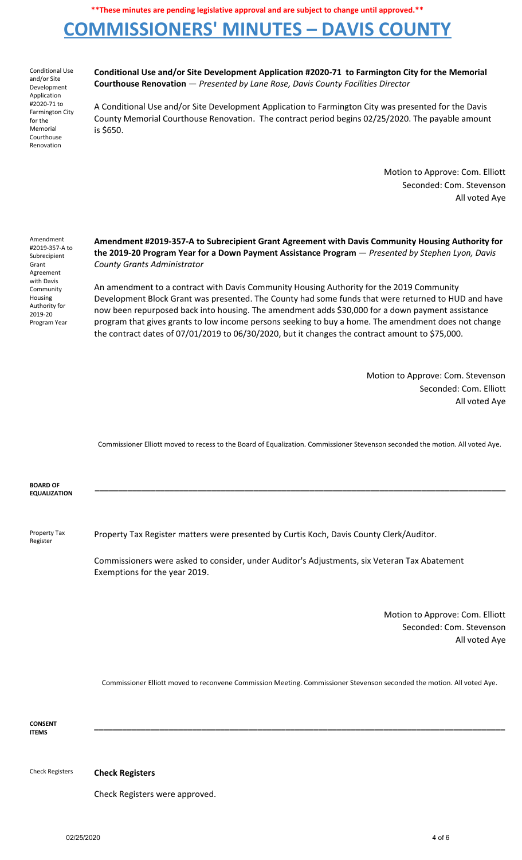# **COMMISSIONERS' MINUTES – DAVIS COUNTY**

Conditional Use and/or Site Development Application #2020-71 to Farmington City for the Memorial Courthouse Renovation

**Conditional Use and/or Site Development Application #2020-71 to Farmington City for the Memorial Courthouse Renovation** — *Presented by Lane Rose, Davis County Facilities Director*

A Conditional Use and/or Site Development Application to Farmington City was presented for the Davis County Memorial Courthouse Renovation. The contract period begins 02/25/2020. The payable amount is \$650.

> Motion to Approve: Com. Elliott Seconded: Com. Stevenson All voted Aye

Amendment #2019-357-A to Subrecipient Grant Agreement with Davis **Community** Housing Authority for 2019-20 Program Year

**Amendment #2019-357-A to Subrecipient Grant Agreement with Davis Community Housing Authority for the 2019-20 Program Year for a Down Payment Assistance Program** — *Presented by Stephen Lyon, Davis County Grants Administrator*

An amendment to a contract with Davis Community Housing Authority for the 2019 Community Development Block Grant was presented. The County had some funds that were returned to HUD and have now been repurposed back into housing. The amendment adds \$30,000 for a down payment assistance program that gives grants to low income persons seeking to buy a home. The amendment does not change the contract dates of 07/01/2019 to 06/30/2020, but it changes the contract amount to \$75,000.

> Motion to Approve: Com. Stevenson Seconded: Com. Elliott All voted Aye

Commissioner Elliott moved to recess to the Board of Equalization. Commissioner Stevenson seconded the motion. All voted Aye.

**\_\_\_\_\_\_\_\_\_\_\_\_\_\_\_\_\_\_\_\_\_\_\_\_\_\_\_\_\_\_\_\_\_\_\_\_\_\_\_\_\_\_\_\_\_\_\_\_\_\_\_\_\_\_\_\_\_\_\_\_\_\_\_\_\_\_\_\_\_\_\_\_\_\_\_\_\_\_\_\_\_\_\_\_\_\_\_\_**

**BOARD OF EQUALIZATION**

Property Tax Register Property Tax Register matters were presented by Curtis Koch, Davis County Clerk/Auditor.

> Commissioners were asked to consider, under Auditor's Adjustments, six Veteran Tax Abatement Exemptions for the year 2019.

> > Motion to Approve: Com. Elliott Seconded: Com. Stevenson All voted Aye

Commissioner Elliott moved to reconvene Commission Meeting. Commissioner Stevenson seconded the motion. All voted Aye.

**\_\_\_\_\_\_\_\_\_\_\_\_\_\_\_\_\_\_\_\_\_\_\_\_\_\_\_\_\_\_\_\_\_\_\_\_\_\_\_\_\_\_\_\_\_\_\_\_\_\_\_\_\_\_\_\_\_\_\_\_\_\_\_\_\_\_\_\_\_\_\_\_\_\_\_\_\_\_\_\_\_\_\_\_\_\_\_\_**

**CONSENT ITEMS**

Check Registers **Check Registers**

Check Registers were approved.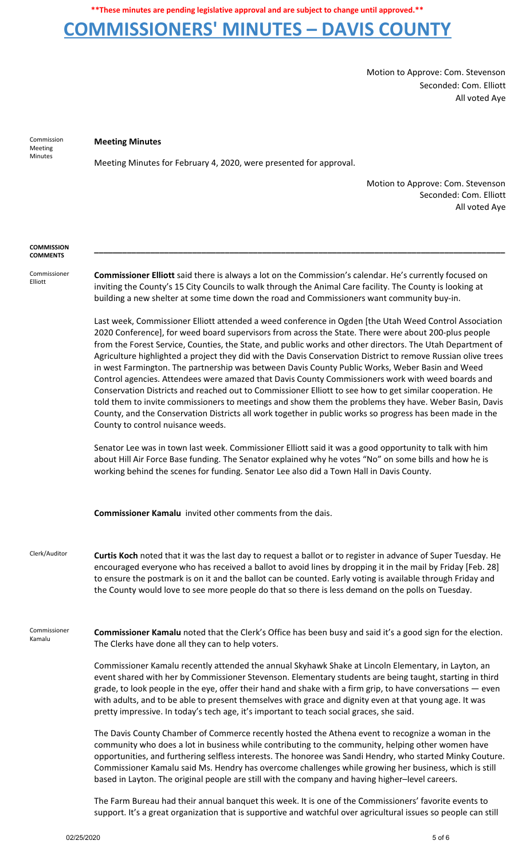## **COMMISSIONERS' MINUTES – DAVIS COUNTY**

Motion to Approve: Com. Stevenson Seconded: Com. Elliott All voted Aye

Commission Meeting Minutes

#### **Meeting Minutes**

Meeting Minutes for February 4, 2020, were presented for approval.

Motion to Approve: Com. Stevenson Seconded: Com. Elliott All voted Aye

#### **COMMISSION COMMENTS**

Commissioner Elliott

**Commissioner Elliott** said there is always a lot on the Commission's calendar. He's currently focused on inviting the County's 15 City Councils to walk through the Animal Care facility. The County is looking at building a new shelter at some time down the road and Commissioners want community buy-in.

**\_\_\_\_\_\_\_\_\_\_\_\_\_\_\_\_\_\_\_\_\_\_\_\_\_\_\_\_\_\_\_\_\_\_\_\_\_\_\_\_\_\_\_\_\_\_\_\_\_\_\_\_\_\_\_\_\_\_\_\_\_\_\_\_\_\_\_\_\_\_\_\_\_\_\_\_\_\_\_\_\_\_\_\_\_\_\_\_**

Last week, Commissioner Elliott attended a weed conference in Ogden [the Utah Weed Control Association 2020 Conference], for weed board supervisors from across the State. There were about 200-plus people from the Forest Service, Counties, the State, and public works and other directors. The Utah Department of Agriculture highlighted a project they did with the Davis Conservation District to remove Russian olive trees in west Farmington. The partnership was between Davis County Public Works, Weber Basin and Weed Control agencies. Attendees were amazed that Davis County Commissioners work with weed boards and Conservation Districts and reached out to Commissioner Elliott to see how to get similar cooperation. He told them to invite commissioners to meetings and show them the problems they have. Weber Basin, Davis County, and the Conservation Districts all work together in public works so progress has been made in the County to control nuisance weeds.

Senator Lee was in town last week. Commissioner Elliott said it was a good opportunity to talk with him about Hill Air Force Base funding. The Senator explained why he votes "No" on some bills and how he is working behind the scenes for funding. Senator Lee also did a Town Hall in Davis County.

**Commissioner Kamalu** invited other comments from the dais.

Clerk/Auditor **Curtis Koch** noted that it was the last day to request a ballot or to register in advance of Super Tuesday. He encouraged everyone who has received a ballot to avoid lines by dropping it in the mail by Friday [Feb. 28] to ensure the postmark is on it and the ballot can be counted. Early voting is available through Friday and the County would love to see more people do that so there is less demand on the polls on Tuesday.

Commissioner Kamalu **Commissioner Kamalu** noted that the Clerk's Office has been busy and said it's a good sign for the election. The Clerks have done all they can to help voters.

> Commissioner Kamalu recently attended the annual Skyhawk Shake at Lincoln Elementary, in Layton, an event shared with her by Commissioner Stevenson. Elementary students are being taught, starting in third grade, to look people in the eye, offer their hand and shake with a firm grip, to have conversations — even with adults, and to be able to present themselves with grace and dignity even at that young age. It was pretty impressive. In today's tech age, it's important to teach social graces, she said.

> The Davis County Chamber of Commerce recently hosted the Athena event to recognize a woman in the community who does a lot in business while contributing to the community, helping other women have opportunities, and furthering selfless interests. The honoree was Sandi Hendry, who started Minky Couture. Commissioner Kamalu said Ms. Hendry has overcome challenges while growing her business, which is still based in Layton. The original people are still with the company and having higher–level careers.

The Farm Bureau had their annual banquet this week. It is one of the Commissioners' favorite events to support. It's a great organization that is supportive and watchful over agricultural issues so people can still